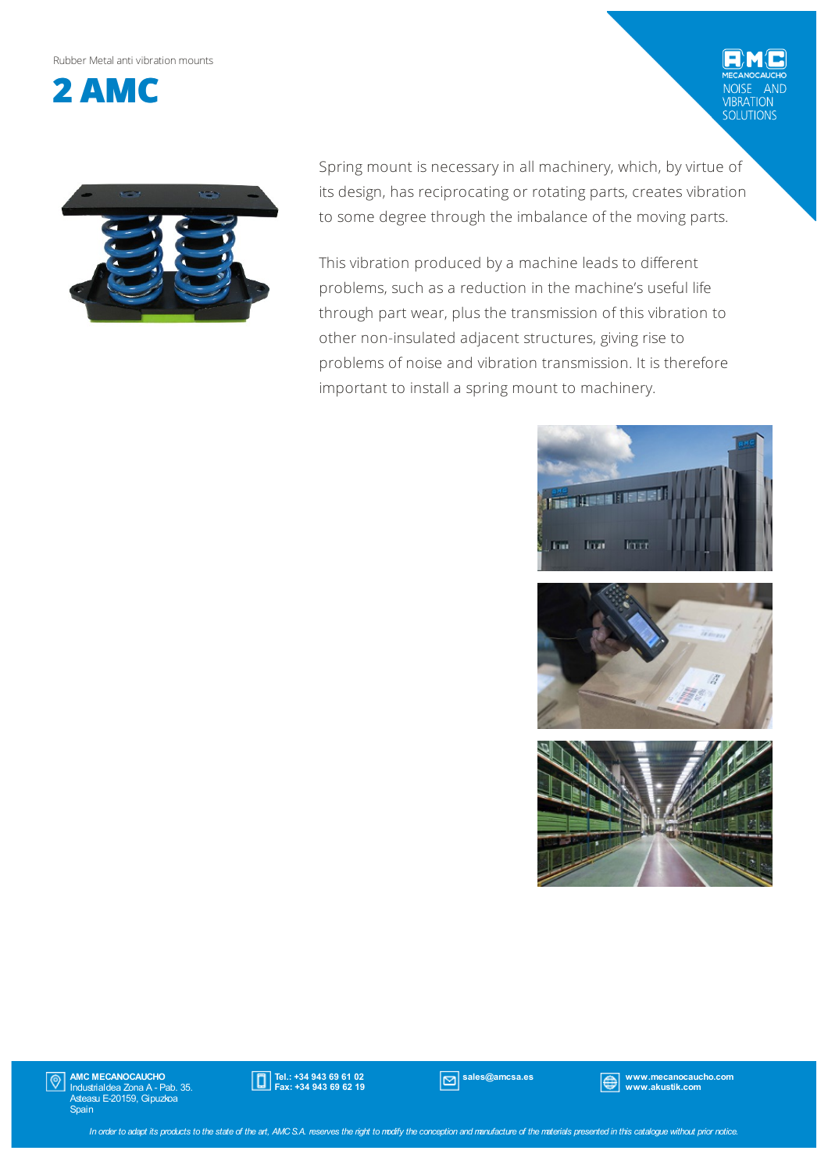#### Rubber Metalanti vibrationmounts



Spring mount is necessary in all machinery, which, by virtue of its design, has reciprocating or rotating parts, creates vibration to some degree through the imbalance of the moving parts.

This vibration produced by a machine leads to different problems, such as a reduction in the machine's useful life through part wear, plus the transmission of this vibration to other non-insulated adjacent structures, giving rise to problems of noise and vibration transmission. It is therefore important to install a spring mount to machinery.



AND

VIBRATION<br>SOLUTIONS





AMC MECANOCAUCHO Industrialdea Zona A - Pab. 35. Asteasu E-20159, Gipuzkoa Spain  $|\mathbb{O}|$ 



sales@amcsa.es www.mecanocaucho.com www.akustik.com

In order to adapt its products to the state of the art, AMCS.A. reserves the right to modify the conception and manufacture of the materials presented in this catalogue without prior notice.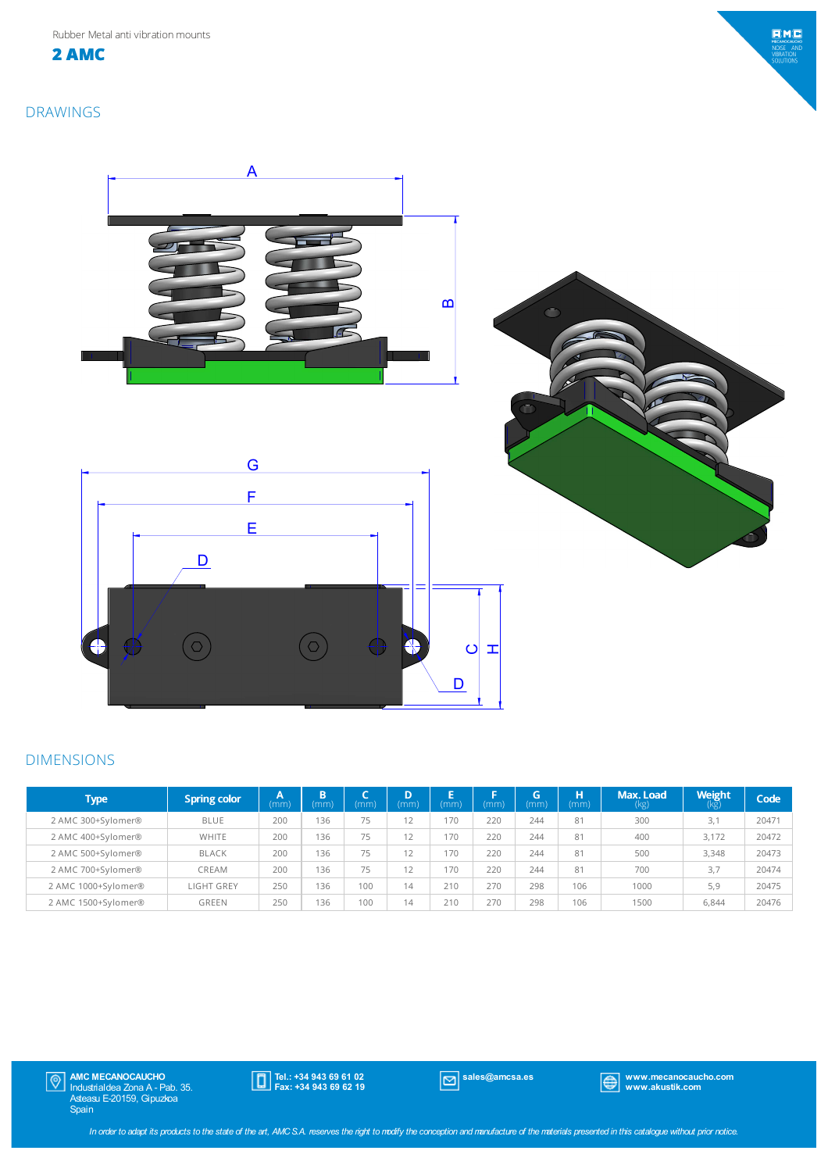**2 AMC**



DRAWINGS



#### DIMENSIONS

| <b>Type</b>         | <b>Spring color</b> | A<br>(mm | <b>B</b><br>(mm) | (mm) | D<br>(mm) | (mm) | ь.<br>(mm) | G<br>(mm) | н<br>(mm) | Max. Load<br>(kg) | <b>Weight</b><br>(kg) | Code <sup>1</sup> |
|---------------------|---------------------|----------|------------------|------|-----------|------|------------|-----------|-----------|-------------------|-----------------------|-------------------|
| 2 AMC 300+Sylomer®  | <b>BLUE</b>         | 200      | 136              | 75   | $\sim$    | 170  | 220        | 244       | 81        | 300               | 3.1                   | 20471             |
| 2 AMC 400+Sylomer®  | WHITE               | 200      | 136              | 75   | 12        | 170  | 220        | 244       | 81        | 400               | 3.172                 | 20472             |
| 2 AMC 500+Sylomer®  | <b>BLACK</b>        | 200      | 136              | 75   | $\sim$    | 170  | 220        | 244       | 81        | 500               | 3.348                 | 20473             |
| 2 AMC 700+Sylomer®  | CREAM               | 200      | 136              | 75   | $\sim$    | 170  | 220        | 244       | 81        | 700               | 3.7                   | 20474             |
| 2 AMC 1000+Sylomer® | <b>LIGHT GREY</b>   | 250      | 136              | 100  | 14        | 210  | 270        | 298       | 106       | 1000              | 5.9                   | 20475             |
| 2 AMC 1500+Sylomer® | <b>GREEN</b>        | 250      | 136              | 100  | 14        | 210  | 270        | 298       | 106       | 1500              | 6,844                 | 20476             |

Tel.: +34 943 69 61 02 Fax: +34 943 69 62 19

sales@amcsa.es www.mecanocaucho.com www.akustik.com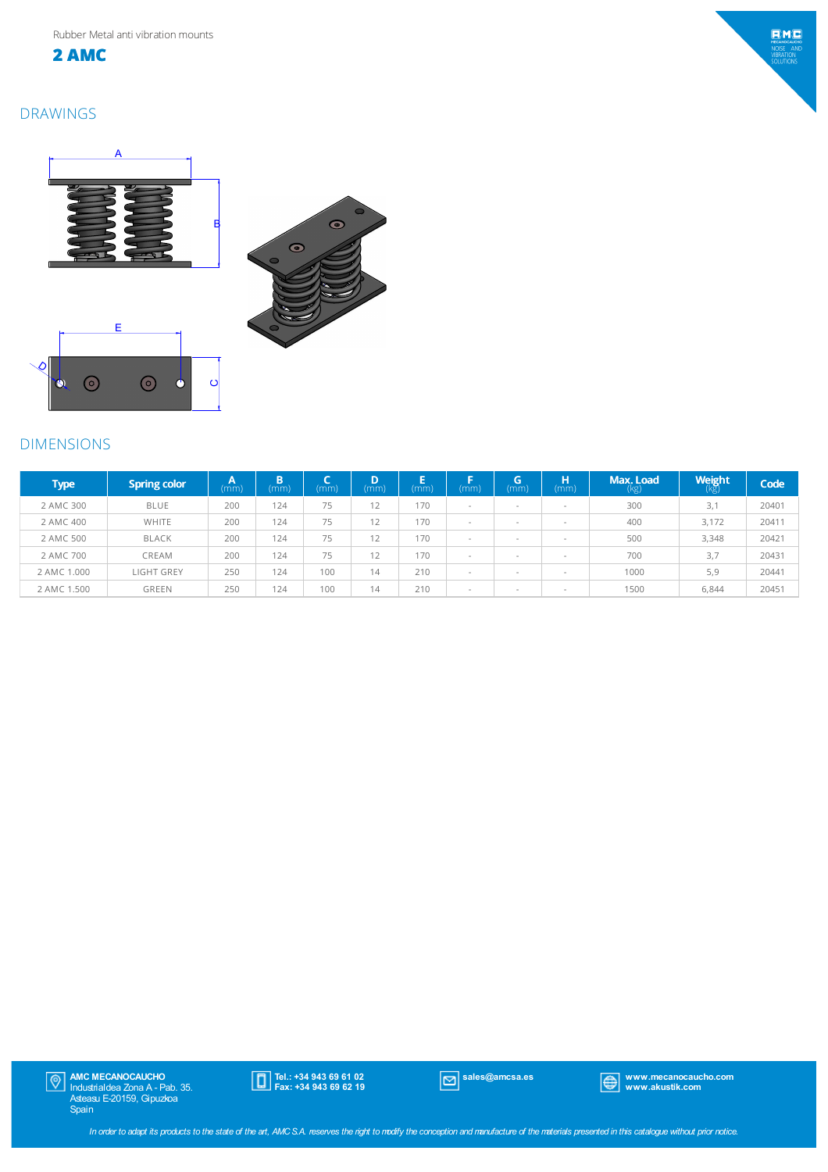



## DRAWINGS



# DIMENSIONS

| <b>Type</b> | <b>Spring color</b> | A<br>(mm) | n<br>(mm) | (mm | D<br>(mm) | Е<br>(mm) | (mm) | G<br>(mm)                | н<br>(mm)                | Max. Load<br>(kg) | <b>Weight</b><br>(kg) | Code  |
|-------------|---------------------|-----------|-----------|-----|-----------|-----------|------|--------------------------|--------------------------|-------------------|-----------------------|-------|
| 2 AMC 300   | <b>BLUE</b>         | 200       | 124       | 75  | 12        | 170       |      | $\overline{\phantom{a}}$ | $\overline{\phantom{a}}$ | 300               | 3,1                   | 20401 |
| 2 AMC 400   | WHITE               | 200       | 124       | 75  | 12        | 170       |      | $\overline{\phantom{a}}$ | $\overline{\phantom{a}}$ | 400               | 3,172                 | 20411 |
| 2 AMC 500   | <b>BLACK</b>        | 200       | 124       | 75  | 12        | 170       |      | $\overline{\phantom{a}}$ | $\overline{\phantom{a}}$ | 500               | 3,348                 | 20421 |
| 2 AMC 700   | CREAM               | 200       | 124       | 75  | 12        | 170       |      | $\overline{\phantom{a}}$ | $\overline{\phantom{a}}$ | 700               | 3,7                   | 20431 |
| 2 AMC 1.000 | <b>LIGHT GREY</b>   | 250       | 124       | 100 | 14        | 210       |      | $\sim$                   | $\overline{\phantom{a}}$ | 1000              | 5,9                   | 20441 |
| 2 AMC 1.500 | GREEN               | 250       | 124       | 100 | 14        | 210       |      | $\overline{\phantom{a}}$ | $\overline{\phantom{a}}$ | 1500              | 6,844                 | 20451 |

 $\ddot{\bullet}$  $\odot$ 

 $\odot$